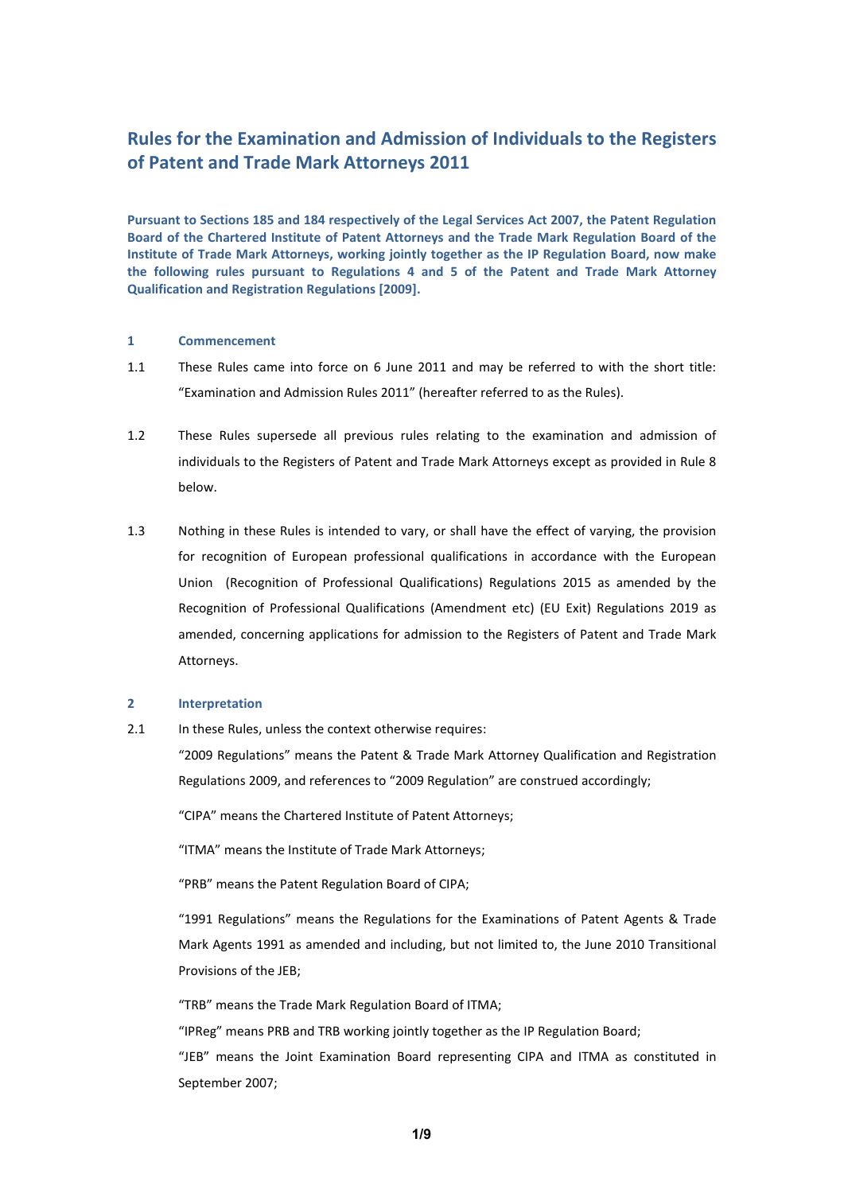# **Rules for the Examination and Admission of Individuals to the Registers of Patent and Trade Mark Attorneys 2011**

**Pursuant to Sections 185 and 184 respectively of the Legal Services Act 2007, the Patent Regulation Board of the Chartered Institute of Patent Attorneys and the Trade Mark Regulation Board of the Institute of Trade Mark Attorneys, working jointly together as the IP Regulation Board, now make the following rules pursuant to Regulations 4 and 5 of the Patent and Trade Mark Attorney Qualification and Registration Regulations [2009].**

## **1 Commencement**

- 1.1 These Rules came into force on 6 June 2011 and may be referred to with the short title: "Examination and Admission Rules 2011" (hereafter referred to as the Rules).
- 1.2 These Rules supersede all previous rules relating to the examination and admission of individuals to the Registers of Patent and Trade Mark Attorneys except as provided in Rule 8 below.
- 1.3 Nothing in these Rules is intended to vary, or shall have the effect of varying, the provision for recognition of European professional qualifications in accordance with the European Union (Recognition of Professional Qualifications) Regulations 2015 as amended by the Recognition of Professional Qualifications (Amendment etc) (EU Exit) Regulations 2019 as amended, concerning applications for admission to the Registers of Patent and Trade Mark Attorneys.

## **2 Interpretation**

2.1 In these Rules, unless the context otherwise requires:

"2009 Regulations" means the Patent & Trade Mark Attorney Qualification and Registration Regulations 2009, and references to "2009 Regulation" are construed accordingly;

"CIPA" means the Chartered Institute of Patent Attorneys;

"ITMA" means the Institute of Trade Mark Attorneys;

"PRB" means the Patent Regulation Board of CIPA;

"1991 Regulations" means the Regulations for the Examinations of Patent Agents & Trade Mark Agents 1991 as amended and including, but not limited to, the June 2010 Transitional Provisions of the JEB;

"TRB" means the Trade Mark Regulation Board of ITMA;

"IPReg" means PRB and TRB working jointly together as the IP Regulation Board;

"JEB" means the Joint Examination Board representing CIPA and ITMA as constituted in September 2007;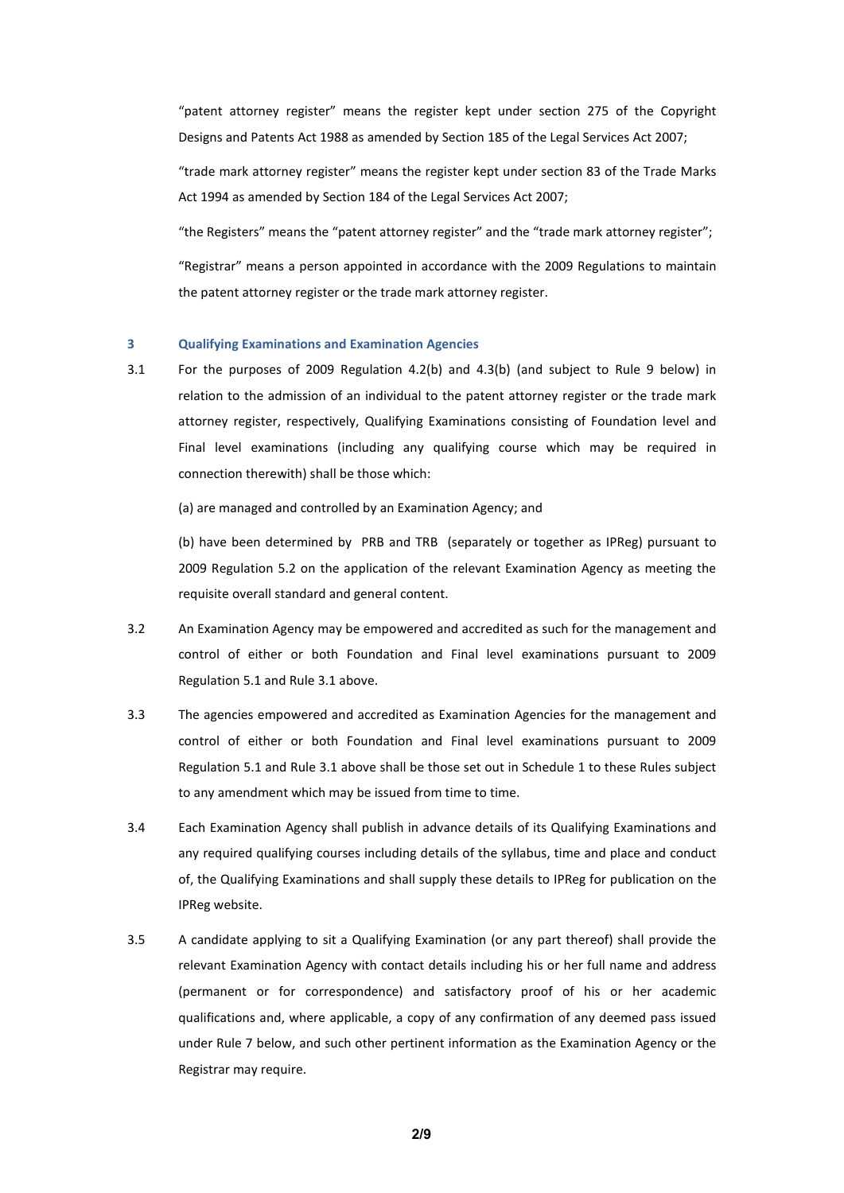"patent attorney register" means the register kept under section 275 of the Copyright Designs and Patents Act 1988 as amended by Section 185 of the Legal Services Act 2007;

"trade mark attorney register" means the register kept under section 83 of the Trade Marks Act 1994 as amended by Section 184 of the Legal Services Act 2007;

"the Registers" means the "patent attorney register" and the "trade mark attorney register";

"Registrar" means a person appointed in accordance with the 2009 Regulations to maintain the patent attorney register or the trade mark attorney register.

## **3 Qualifying Examinations and Examination Agencies**

3.1 For the purposes of 2009 Regulation 4.2(b) and 4.3(b) (and subject to Rule 9 below) in relation to the admission of an individual to the patent attorney register or the trade mark attorney register, respectively, Qualifying Examinations consisting of Foundation level and Final level examinations (including any qualifying course which may be required in connection therewith) shall be those which:

(a) are managed and controlled by an Examination Agency; and

(b) have been determined by PRB and TRB (separately or together as IPReg) pursuant to 2009 Regulation 5.2 on the application of the relevant Examination Agency as meeting the requisite overall standard and general content.

- 3.2 An Examination Agency may be empowered and accredited as such for the management and control of either or both Foundation and Final level examinations pursuant to 2009 Regulation 5.1 and Rule 3.1 above.
- 3.3 The agencies empowered and accredited as Examination Agencies for the management and control of either or both Foundation and Final level examinations pursuant to 2009 Regulation 5.1 and Rule 3.1 above shall be those set out in Schedule 1 to these Rules subject to any amendment which may be issued from time to time.
- 3.4 Each Examination Agency shall publish in advance details of its Qualifying Examinations and any required qualifying courses including details of the syllabus, time and place and conduct of, the Qualifying Examinations and shall supply these details to IPReg for publication on the IPReg website.
- 3.5 A candidate applying to sit a Qualifying Examination (or any part thereof) shall provide the relevant Examination Agency with contact details including his or her full name and address (permanent or for correspondence) and satisfactory proof of his or her academic qualifications and, where applicable, a copy of any confirmation of any deemed pass issued under Rule 7 below, and such other pertinent information as the Examination Agency or the Registrar may require.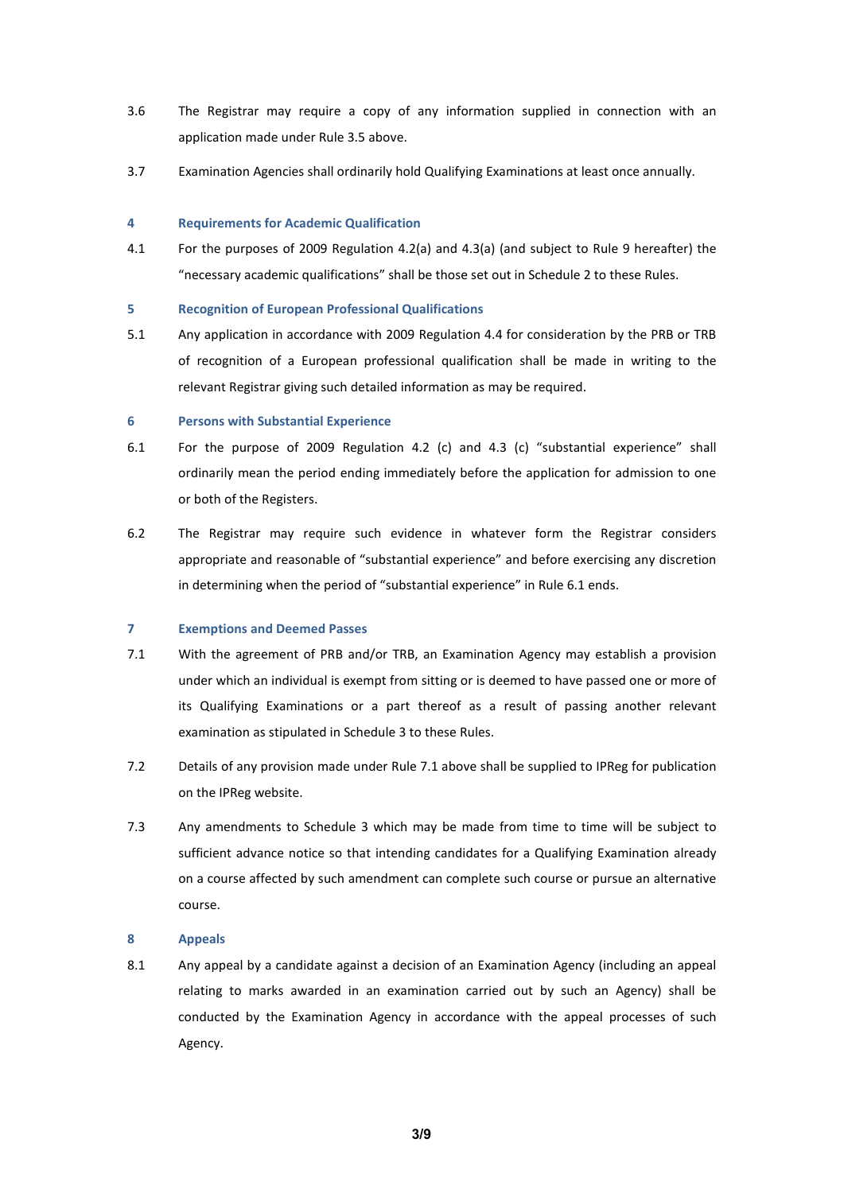- 3.6 The Registrar may require a copy of any information supplied in connection with an application made under Rule 3.5 above.
- 3.7 Examination Agencies shall ordinarily hold Qualifying Examinations at least once annually.

#### **4 Requirements for Academic Qualification**

4.1 For the purposes of 2009 Regulation 4.2(a) and 4.3(a) (and subject to Rule 9 hereafter) the "necessary academic qualifications" shall be those set out in Schedule 2 to these Rules.

## **5 Recognition of European Professional Qualifications**

5.1 Any application in accordance with 2009 Regulation 4.4 for consideration by the PRB or TRB of recognition of a European professional qualification shall be made in writing to the relevant Registrar giving such detailed information as may be required.

## **6 Persons with Substantial Experience**

- 6.1 For the purpose of 2009 Regulation 4.2 (c) and 4.3 (c) "substantial experience" shall ordinarily mean the period ending immediately before the application for admission to one or both of the Registers.
- 6.2 The Registrar may require such evidence in whatever form the Registrar considers appropriate and reasonable of "substantial experience" and before exercising any discretion in determining when the period of "substantial experience" in Rule 6.1 ends.

# **7 Exemptions and Deemed Passes**

- 7.1 With the agreement of PRB and/or TRB, an Examination Agency may establish a provision under which an individual is exempt from sitting or is deemed to have passed one or more of its Qualifying Examinations or a part thereof as a result of passing another relevant examination as stipulated in Schedule 3 to these Rules.
- 7.2 Details of any provision made under Rule 7.1 above shall be supplied to IPReg for publication on the IPReg website.
- 7.3 Any amendments to Schedule 3 which may be made from time to time will be subject to sufficient advance notice so that intending candidates for a Qualifying Examination already on a course affected by such amendment can complete such course or pursue an alternative course.

# **8 Appeals**

8.1 Any appeal by a candidate against a decision of an Examination Agency (including an appeal relating to marks awarded in an examination carried out by such an Agency) shall be conducted by the Examination Agency in accordance with the appeal processes of such Agency.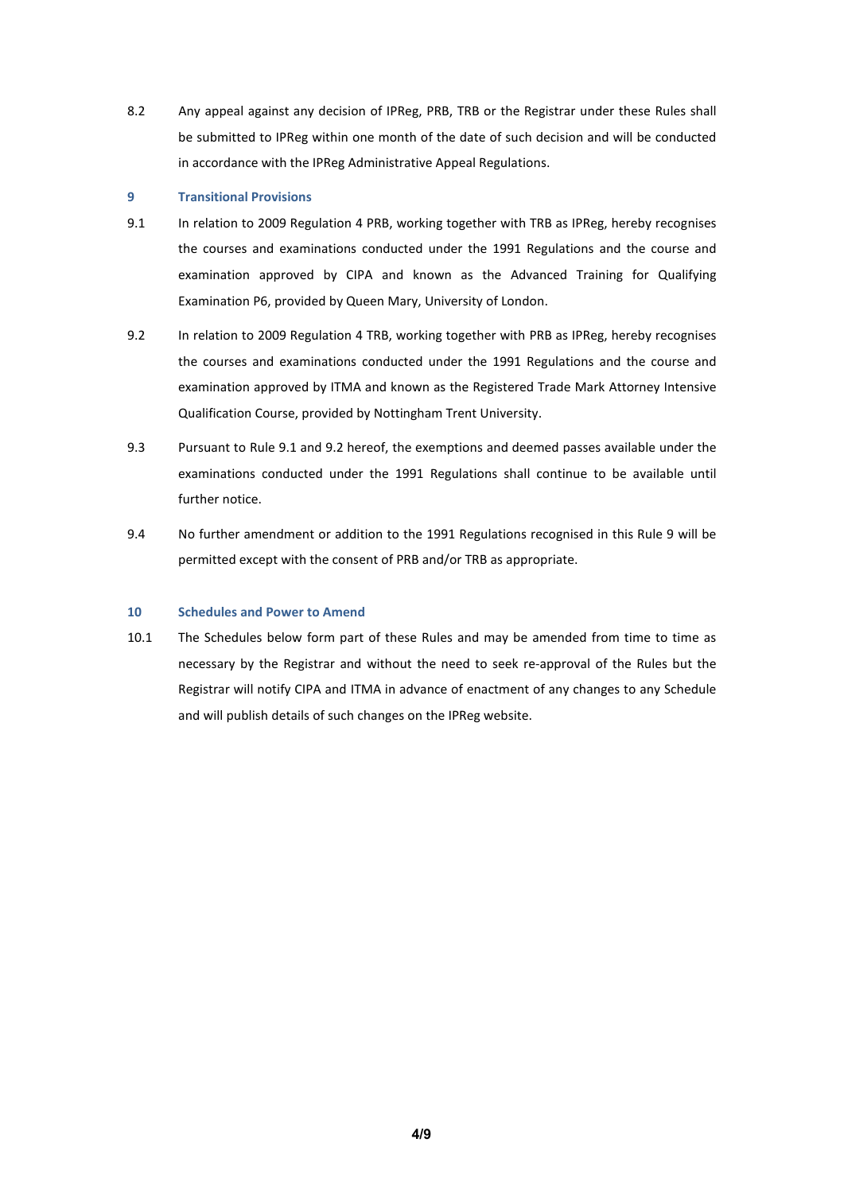8.2 Any appeal against any decision of IPReg, PRB, TRB or the Registrar under these Rules shall be submitted to IPReg within one month of the date of such decision and will be conducted in accordance with the IPReg Administrative Appeal Regulations.

# **9 Transitional Provisions**

- 9.1 In relation to 2009 Regulation 4 PRB, working together with TRB as IPReg, hereby recognises the courses and examinations conducted under the 1991 Regulations and the course and examination approved by CIPA and known as the Advanced Training for Qualifying Examination P6, provided by Queen Mary, University of London.
- 9.2 In relation to 2009 Regulation 4 TRB, working together with PRB as IPReg, hereby recognises the courses and examinations conducted under the 1991 Regulations and the course and examination approved by ITMA and known as the Registered Trade Mark Attorney Intensive Qualification Course, provided by Nottingham Trent University.
- 9.3 Pursuant to Rule 9.1 and 9.2 hereof, the exemptions and deemed passes available under the examinations conducted under the 1991 Regulations shall continue to be available until further notice.
- 9.4 No further amendment or addition to the 1991 Regulations recognised in this Rule 9 will be permitted except with the consent of PRB and/or TRB as appropriate.

## **10 Schedules and Power to Amend**

10.1 The Schedules below form part of these Rules and may be amended from time to time as necessary by the Registrar and without the need to seek re-approval of the Rules but the Registrar will notify CIPA and ITMA in advance of enactment of any changes to any Schedule and will publish details of such changes on the IPReg website.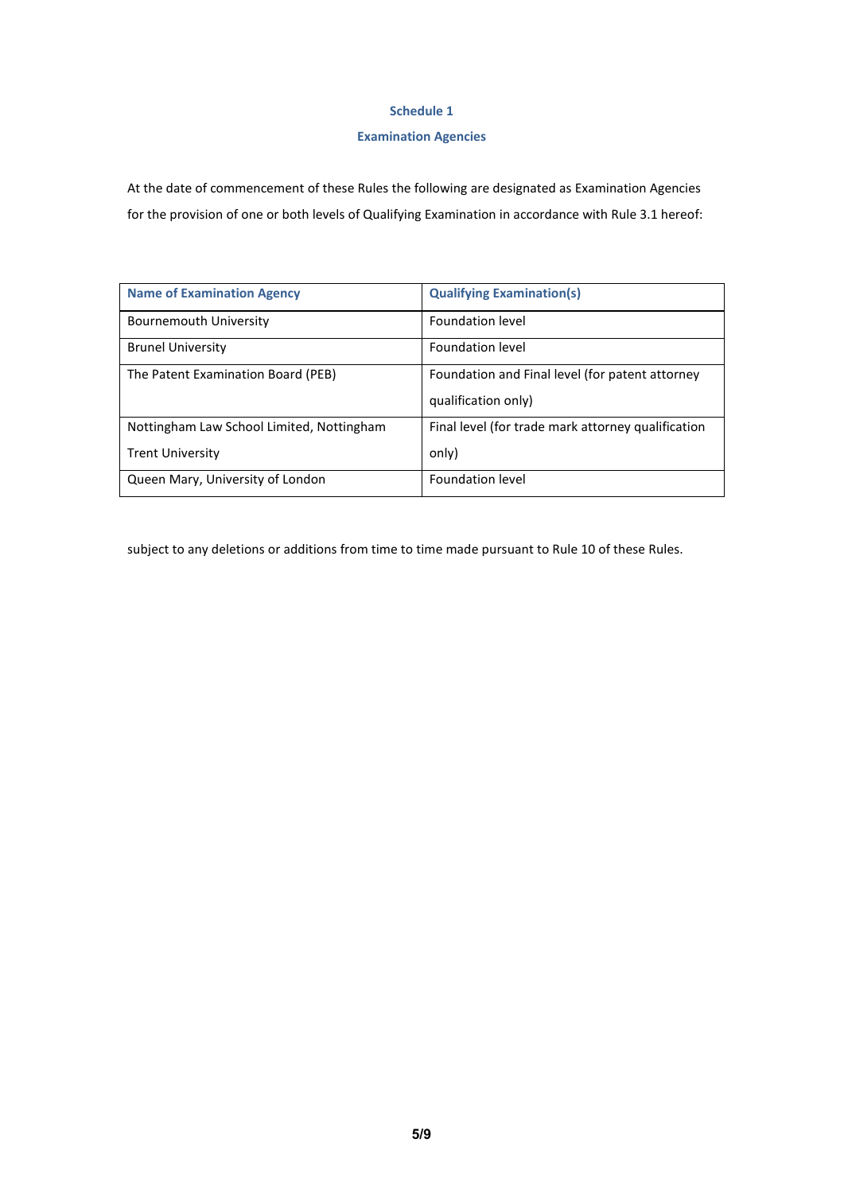# **Schedule 1**

# **Examination Agencies**

At the date of commencement of these Rules the following are designated as Examination Agencies for the provision of one or both levels of Qualifying Examination in accordance with Rule 3.1 hereof:

| <b>Name of Examination Agency</b>         | <b>Qualifying Examination(s)</b>                                       |
|-------------------------------------------|------------------------------------------------------------------------|
| Bournemouth University                    | Foundation level                                                       |
| <b>Brunel University</b>                  | Foundation level                                                       |
| The Patent Examination Board (PEB)        | Foundation and Final level (for patent attorney<br>qualification only) |
| Nottingham Law School Limited, Nottingham | Final level (for trade mark attorney qualification                     |
| <b>Trent University</b>                   | only)                                                                  |
| Queen Mary, University of London          | <b>Foundation level</b>                                                |

subject to any deletions or additions from time to time made pursuant to Rule 10 of these Rules.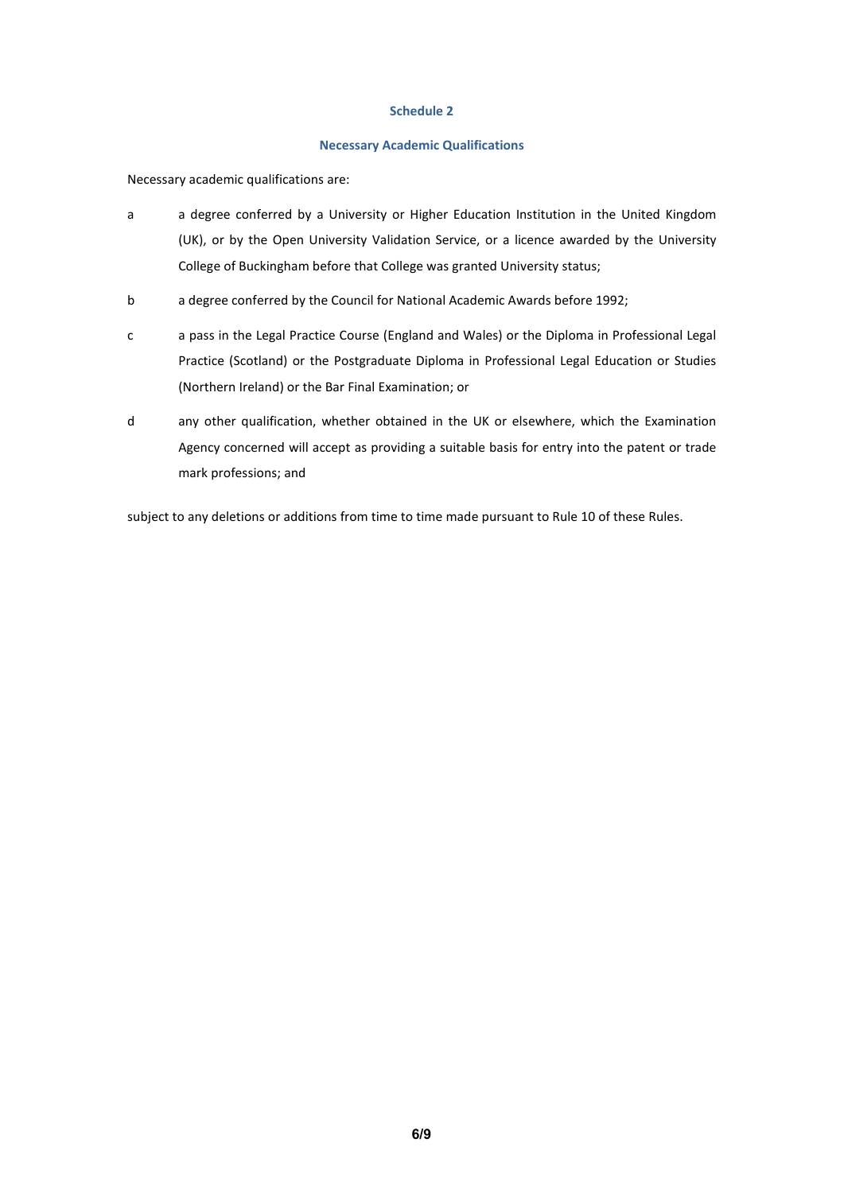## **Schedule 2**

## **Necessary Academic Qualifications**

Necessary academic qualifications are:

- a a degree conferred by a University or Higher Education Institution in the United Kingdom (UK), or by the Open University Validation Service, or a licence awarded by the University College of Buckingham before that College was granted University status;
- b a degree conferred by the Council for National Academic Awards before 1992;
- c a pass in the Legal Practice Course (England and Wales) or the Diploma in Professional Legal Practice (Scotland) or the Postgraduate Diploma in Professional Legal Education or Studies (Northern Ireland) or the Bar Final Examination; or
- d any other qualification, whether obtained in the UK or elsewhere, which the Examination Agency concerned will accept as providing a suitable basis for entry into the patent or trade mark professions; and

subject to any deletions or additions from time to time made pursuant to Rule 10 of these Rules.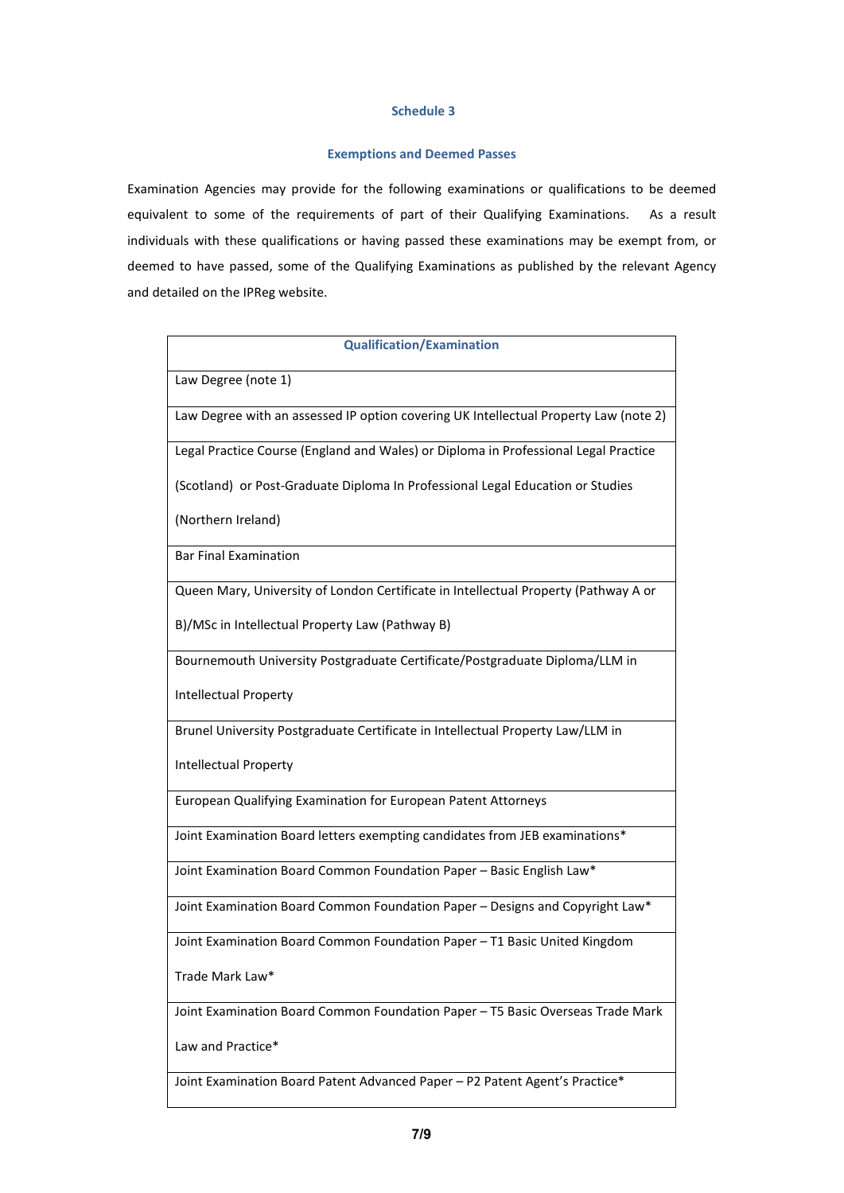## **Schedule 3**

# **Exemptions and Deemed Passes**

Examination Agencies may provide for the following examinations or qualifications to be deemed equivalent to some of the requirements of part of their Qualifying Examinations. As a result individuals with these qualifications or having passed these examinations may be exempt from, or deemed to have passed, some of the Qualifying Examinations as published by the relevant Agency and detailed on the IPReg website.

| <b>Qualification/Examination</b>                                                     |  |
|--------------------------------------------------------------------------------------|--|
| Law Degree (note 1)                                                                  |  |
| Law Degree with an assessed IP option covering UK Intellectual Property Law (note 2) |  |
| Legal Practice Course (England and Wales) or Diploma in Professional Legal Practice  |  |
| (Scotland) or Post-Graduate Diploma In Professional Legal Education or Studies       |  |
| (Northern Ireland)                                                                   |  |
| <b>Bar Final Examination</b>                                                         |  |
| Queen Mary, University of London Certificate in Intellectual Property (Pathway A or  |  |
| B)/MSc in Intellectual Property Law (Pathway B)                                      |  |
| Bournemouth University Postgraduate Certificate/Postgraduate Diploma/LLM in          |  |
| <b>Intellectual Property</b>                                                         |  |
| Brunel University Postgraduate Certificate in Intellectual Property Law/LLM in       |  |
| <b>Intellectual Property</b>                                                         |  |
| European Qualifying Examination for European Patent Attorneys                        |  |
| Joint Examination Board letters exempting candidates from JEB examinations*          |  |
| Joint Examination Board Common Foundation Paper - Basic English Law*                 |  |
| Joint Examination Board Common Foundation Paper - Designs and Copyright Law*         |  |
| Joint Examination Board Common Foundation Paper - T1 Basic United Kingdom            |  |
| Trade Mark Law*                                                                      |  |
| Joint Examination Board Common Foundation Paper - T5 Basic Overseas Trade Mark       |  |
| Law and Practice*                                                                    |  |
| Joint Examination Board Patent Advanced Paper - P2 Patent Agent's Practice*          |  |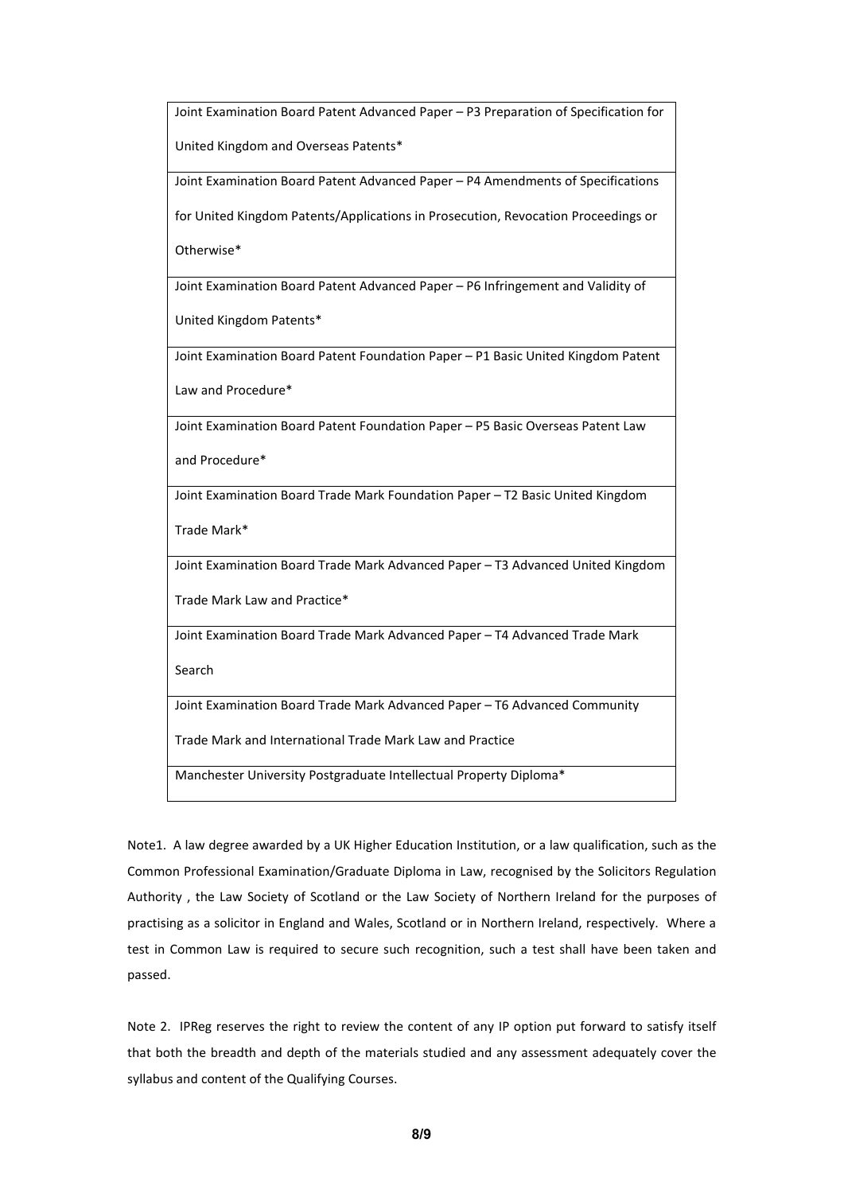Joint Examination Board Patent Advanced Paper – P3 Preparation of Specification for United Kingdom and Overseas Patents\* Joint Examination Board Patent Advanced Paper – P4 Amendments of Specifications for United Kingdom Patents/Applications in Prosecution, Revocation Proceedings or Otherwise\* Joint Examination Board Patent Advanced Paper – P6 Infringement and Validity of United Kingdom Patents\* Joint Examination Board Patent Foundation Paper – P1 Basic United Kingdom Patent Law and Procedure\* Joint Examination Board Patent Foundation Paper – P5 Basic Overseas Patent Law and Procedure\* Joint Examination Board Trade Mark Foundation Paper – T2 Basic United Kingdom Trade Mark\* Joint Examination Board Trade Mark Advanced Paper – T3 Advanced United Kingdom Trade Mark Law and Practice\* Joint Examination Board Trade Mark Advanced Paper – T4 Advanced Trade Mark Search Joint Examination Board Trade Mark Advanced Paper – T6 Advanced Community Trade Mark and International Trade Mark Law and Practice Manchester University Postgraduate Intellectual Property Diploma\*

Note1. A law degree awarded by a UK Higher Education Institution, or a law qualification, such as the Common Professional Examination/Graduate Diploma in Law, recognised by the Solicitors Regulation Authority , the Law Society of Scotland or the Law Society of Northern Ireland for the purposes of practising as a solicitor in England and Wales, Scotland or in Northern Ireland, respectively. Where a test in Common Law is required to secure such recognition, such a test shall have been taken and passed.

Note 2. IPReg reserves the right to review the content of any IP option put forward to satisfy itself that both the breadth and depth of the materials studied and any assessment adequately cover the syllabus and content of the Qualifying Courses.